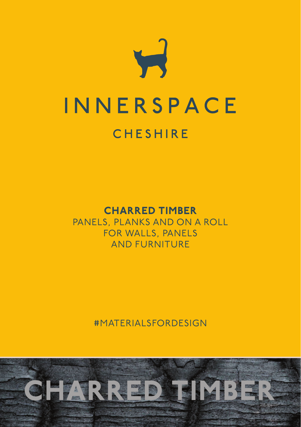

# CHARRED TIMBER

PANELS, PLANKS AND ON A ROLL FOR WALLS, PANELS AND FURNITURE

#MATERIALSFORDESIGN

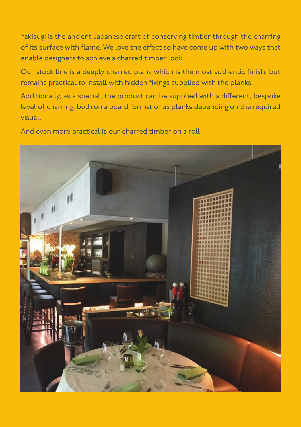Yakisugi is the ancient Japanese craft of conserving timber through the charring of its surface with flame. We love the effect so have come up with two ways that enable designers to achieve a charred timber look.

Our stock line is a deeply charred plank which is the most authentic finish, but remains practical to install with hidden fixings supplied with the planks.

Additionally, as a special, the product can be supplied with a different, bespoke level of charring, both on a board format or as planks depending on the required visual.

And even more practical is our charred timber on a roll.

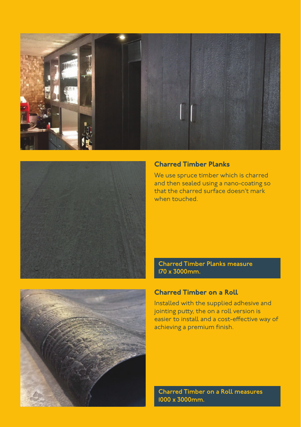



# Charred Timber Planks

We use spruce timber which is charred and then sealed using a nano-coating so that the charred surface doesn't mark when touched.

Charred Timber Planks measure 170 x 3000mm.

# Charred Timber on a Roll

Installed with the supplied adhesive and jointing putty, the on a roll version is easier to install and a cost-effective way of achieving a premium finish.

Charred Timber on a Roll measures 1000 x 3000mm.